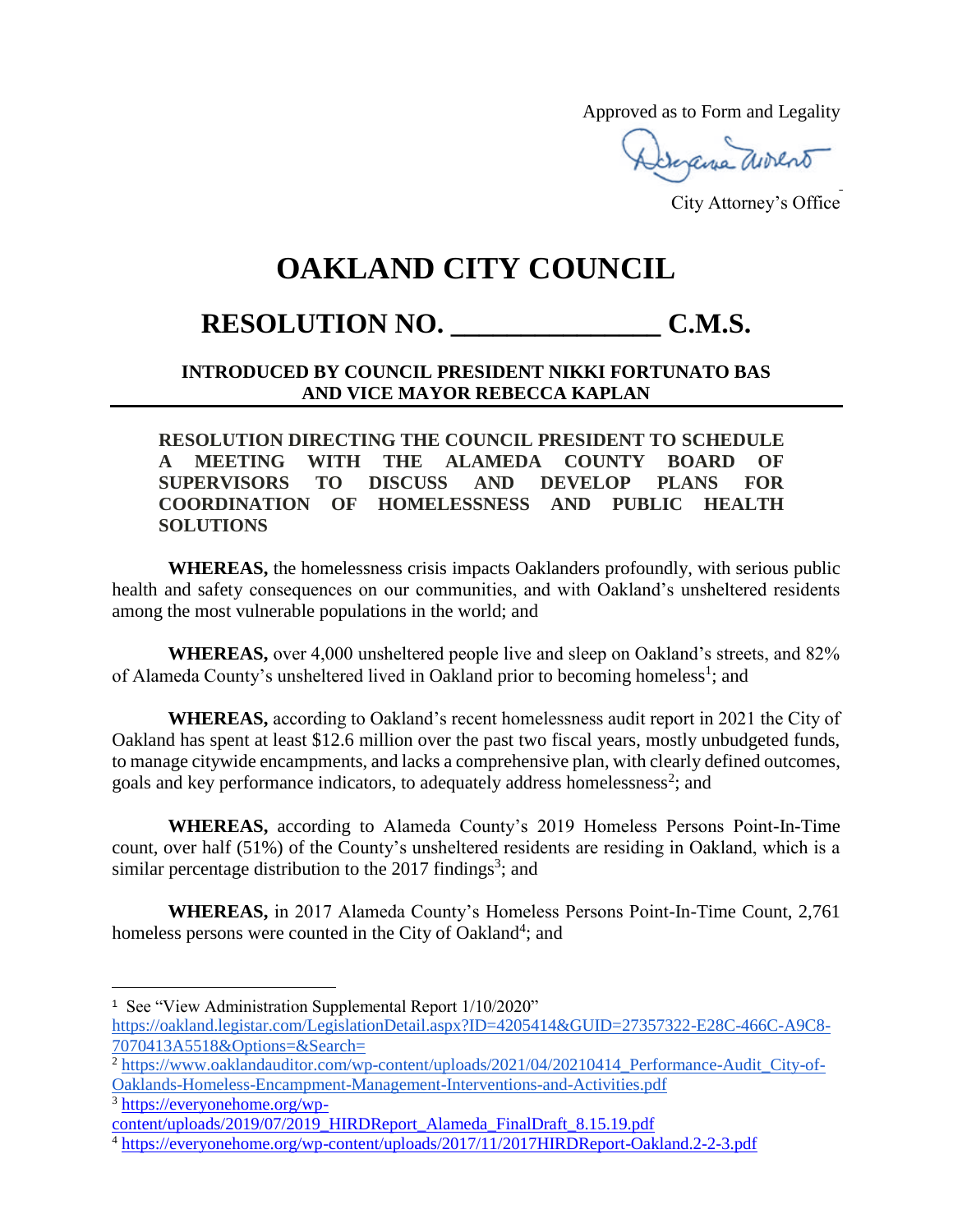Approved as to Form and Legality

Gerana avrent

City Attorney's Office

## **OAKLAND CITY COUNCIL**

## RESOLUTION NO. C.M.S.

## **INTRODUCED BY COUNCIL PRESIDENT NIKKI FORTUNATO BAS AND VICE MAYOR REBECCA KAPLAN**

**RESOLUTION DIRECTING THE COUNCIL PRESIDENT TO SCHEDULE A MEETING WITH THE ALAMEDA COUNTY BOARD OF SUPERVISORS TO DISCUSS AND DEVELOP PLANS FOR COORDINATION OF HOMELESSNESS AND PUBLIC HEALTH SOLUTIONS**

**WHEREAS,** the homelessness crisis impacts Oaklanders profoundly, with serious public health and safety consequences on our communities, and with Oakland's unsheltered residents among the most vulnerable populations in the world; and

**WHEREAS,** over 4,000 unsheltered people live and sleep on Oakland's streets, and 82% of Alameda County's unsheltered lived in Oakland prior to becoming homeless<sup>1</sup>; and

**WHEREAS,** according to Oakland's recent homelessness audit report in 2021 the City of Oakland has spent at least \$12.6 million over the past two fiscal years, mostly unbudgeted funds, to manage citywide encampments, and lacks a comprehensive plan, with clearly defined outcomes, goals and key performance indicators, to adequately address homelessness<sup>2</sup>; and

**WHEREAS,** according to Alameda County's 2019 Homeless Persons Point-In-Time count, over half (51%) of the County's unsheltered residents are residing in Oakland, which is a similar percentage distribution to the 2017 findings<sup>3</sup>; and

**WHEREAS,** in 2017 Alameda County's Homeless Persons Point-In-Time Count, 2,761 homeless persons were counted in the City of Oakland<sup>4</sup>; and

 $\overline{a}$ 

<sup>1</sup> See "View Administration Supplemental Report 1/10/2020"

[https://oakland.legistar.com/LegislationDetail.aspx?ID=4205414&GUID=27357322-E28C-466C-A9C8-](https://oakland.legistar.com/LegislationDetail.aspx?ID=4205414&GUID=27357322-E28C-466C-A9C8-7070413A5518&Options=&Search=) [7070413A5518&Options=&Search=](https://oakland.legistar.com/LegislationDetail.aspx?ID=4205414&GUID=27357322-E28C-466C-A9C8-7070413A5518&Options=&Search=)

<sup>&</sup>lt;sup>2</sup> [https://www.oaklandauditor.com/wp-content/uploads/2021/04/20210414\\_Performance-Audit\\_City-of-](https://www.oaklandauditor.com/wp-content/uploads/2021/04/20210414_Performance-Audit_City-of-Oaklands-Homeless-Encampment-Management-Interventions-and-Activities.pdf)[Oaklands-Homeless-Encampment-Management-Interventions-and-Activities.pdf](https://www.oaklandauditor.com/wp-content/uploads/2021/04/20210414_Performance-Audit_City-of-Oaklands-Homeless-Encampment-Management-Interventions-and-Activities.pdf)

<sup>3</sup> [https://everyonehome.org/wp-](https://everyonehome.org/wp-content/uploads/2019/07/2019_HIRDReport_Alameda_FinalDraft_8.15.19.pdf)

[content/uploads/2019/07/2019\\_HIRDReport\\_Alameda\\_FinalDraft\\_8.15.19.pdf](https://everyonehome.org/wp-content/uploads/2019/07/2019_HIRDReport_Alameda_FinalDraft_8.15.19.pdf)

<sup>4</sup> <https://everyonehome.org/wp-content/uploads/2017/11/2017HIRDReport-Oakland.2-2-3.pdf>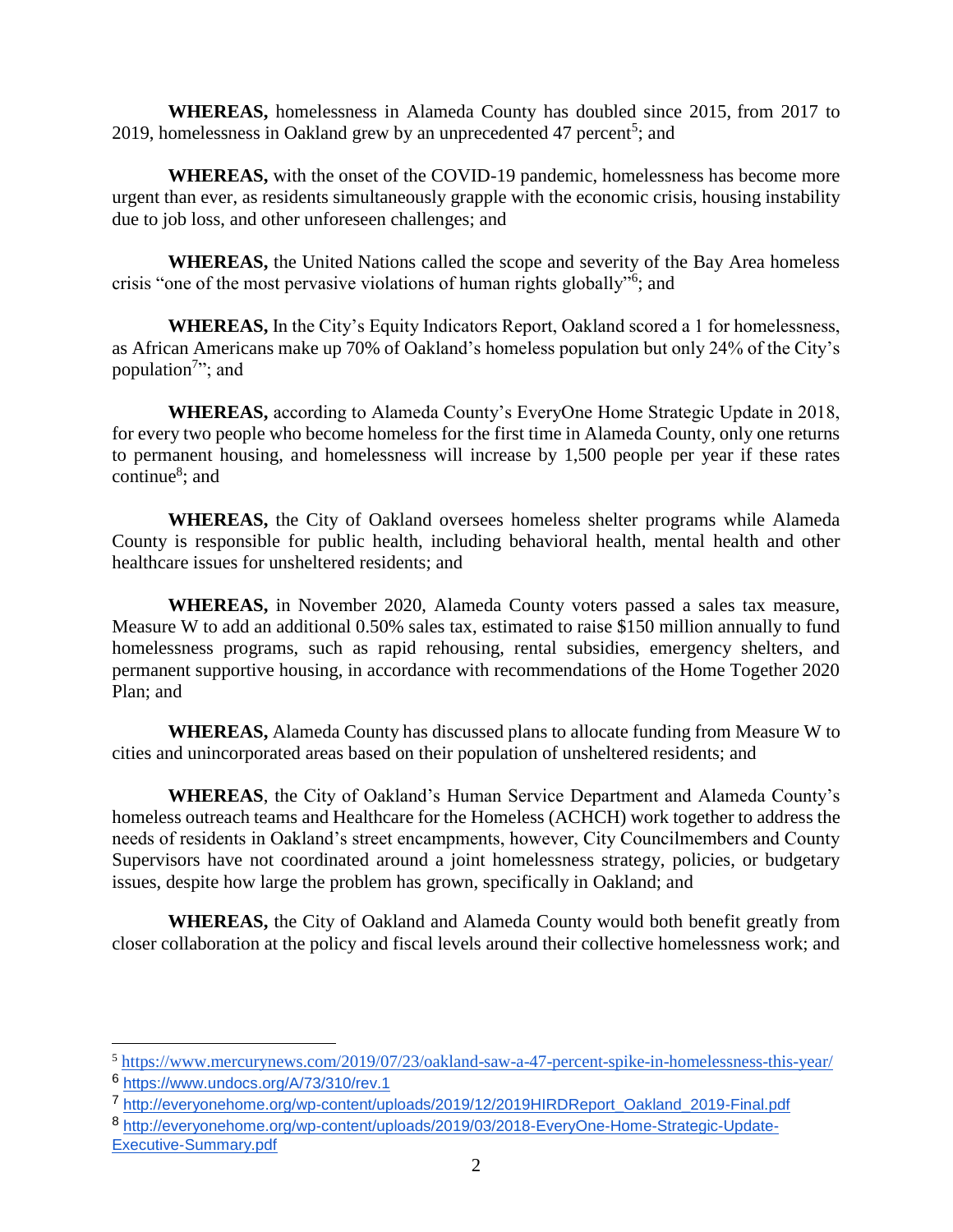**WHEREAS,** homelessness in Alameda County has doubled since 2015, from 2017 to 2019, homelessness in Oakland grew by an unprecedented 47 percent<sup>5</sup>; and

**WHEREAS,** with the onset of the COVID-19 pandemic, homelessness has become more urgent than ever, as residents simultaneously grapple with the economic crisis, housing instability due to job loss, and other unforeseen challenges; and

**WHEREAS,** the United Nations called the scope and severity of the Bay Area homeless crisis "one of the most pervasive violations of human rights globally"<sup>6</sup>; and

**WHEREAS,** In the City's Equity Indicators Report, Oakland scored a 1 for homelessness, as African Americans make up 70% of Oakland's homeless population but only 24% of the City's population<sup>7</sup>"; and

**WHEREAS,** according to Alameda County's EveryOne Home Strategic Update in 2018, for every two people who become homeless for the first time in Alameda County, only one returns to permanent housing, and homelessness will increase by 1,500 people per year if these rates continue<sup>8</sup>; and

**WHEREAS,** the City of Oakland oversees homeless shelter programs while Alameda County is responsible for public health, including behavioral health, mental health and other healthcare issues for unsheltered residents; and

**WHEREAS,** in November 2020, Alameda County voters passed a sales tax measure, Measure W to add an additional 0.50% sales tax, estimated to raise \$150 million annually to fund homelessness programs, such as rapid rehousing, rental subsidies, emergency shelters, and permanent supportive housing, in accordance with recommendations of the Home Together 2020 Plan; and

**WHEREAS,** Alameda County has discussed plans to allocate funding from Measure W to cities and unincorporated areas based on their population of unsheltered residents; and

**WHEREAS**, the City of Oakland's Human Service Department and Alameda County's homeless outreach teams and Healthcare for the Homeless (ACHCH) work together to address the needs of residents in Oakland's street encampments, however, City Councilmembers and County Supervisors have not coordinated around a joint homelessness strategy, policies, or budgetary issues, despite how large the problem has grown, specifically in Oakland; and

**WHEREAS,** the City of Oakland and Alameda County would both benefit greatly from closer collaboration at the policy and fiscal levels around their collective homelessness work; and

 $\overline{a}$ 

<sup>5</sup> <https://www.mercurynews.com/2019/07/23/oakland-saw-a-47-percent-spike-in-homelessness-this-year/>

<sup>6</sup> <https://www.undocs.org/A/73/310/rev.1>

<sup>7</sup> [http://everyonehome.org/wp-content/uploads/2019/12/2019HIRDReport\\_Oakland\\_2019-Final.pdf](http://everyonehome.org/wp-content/uploads/2019/12/2019HIRDReport_Oakland_2019-Final.pdf)

<sup>8</sup> [http://everyonehome.org/wp-content/uploads/2019/03/2018-EveryOne-Home-Strategic-Update-](http://everyonehome.org/wp-content/uploads/2019/03/2018-EveryOne-Home-Strategic-Update-Executive-Summary.pdf)[Executive-Summary.pdf](http://everyonehome.org/wp-content/uploads/2019/03/2018-EveryOne-Home-Strategic-Update-Executive-Summary.pdf)